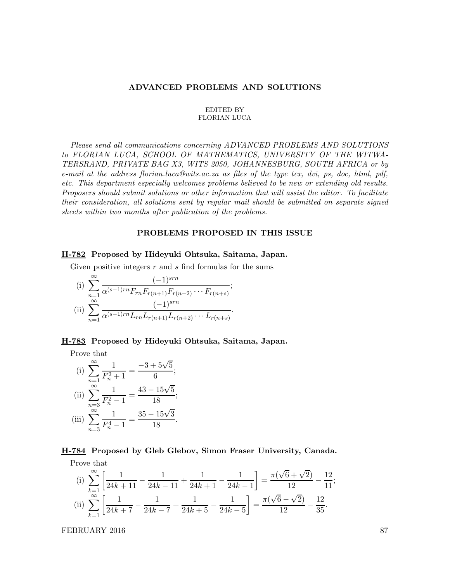#### ADVANCED PROBLEMS AND SOLUTIONS

#### EDITED BY FLORIAN LUCA

Please send all communications concerning ADVANCED PROBLEMS AND SOLUTIONS to FLORIAN LUCA, SCHOOL OF MATHEMATICS, UNIVERSITY OF THE WITWA-TERSRAND, PRIVATE BAG X3, WITS 2050, JOHANNESBURG, SOUTH AFRICA or by e-mail at the address florian.luca@wits.ac.za as files of the type tex, dvi, ps, doc, html, pdf, etc. This department especially welcomes problems believed to be new or extending old results. Proposers should submit solutions or other information that will assist the editor. To facilitate their consideration, all solutions sent by regular mail should be submitted on separate signed sheets within two months after publication of the problems.

## PROBLEMS PROPOSED IN THIS ISSUE

## H-782 Proposed by Hideyuki Ohtsuka, Saitama, Japan.

Given positive integers  $r$  and  $s$  find formulas for the sums

(i) 
$$
\sum_{n=1}^{\infty} \frac{(-1)^{srn}}{\alpha^{(s-1)rn} F_{rn} F_{r(n+1)} F_{r(n+2)} \cdots F_{r(n+s)}}
$$
  
\n(ii) 
$$
\sum_{n=1}^{\infty} \frac{(-1)^{srn}}{\alpha^{(s-1)rn} L_{rn} L_{r(n+1)} L_{r(n+2)} \cdots L_{r(n+s)}}.
$$

### H-783 Proposed by Hideyuki Ohtsuka, Saitama, Japan.

Prove that

(i) 
$$
\sum_{n=1}^{\infty} \frac{1}{F_n^2 + 1} = \frac{-3 + 5\sqrt{5}}{6};
$$
  
\n(ii) 
$$
\sum_{n=3}^{\infty} \frac{1}{F_n^2 - 1} = \frac{43 - 15\sqrt{5}}{18};
$$
  
\n(iii) 
$$
\sum_{n=3}^{\infty} \frac{1}{F_n^4 - 1} = \frac{35 - 15\sqrt{3}}{18}.
$$

# H-784 Proposed by Gleb Glebov, Simon Fraser University, Canada. Prove that

(i) 
$$
\sum_{k=1}^{\infty} \left[ \frac{1}{24k+11} - \frac{1}{24k-11} + \frac{1}{24k+1} - \frac{1}{24k-1} \right] = \frac{\pi(\sqrt{6} + \sqrt{2})}{12} - \frac{12}{11};
$$
  
(ii) 
$$
\sum_{k=1}^{\infty} \left[ \frac{1}{24k+7} - \frac{1}{24k-7} + \frac{1}{24k+5} - \frac{1}{24k-5} \right] = \frac{\pi(\sqrt{6} - \sqrt{2})}{12} - \frac{12}{35}.
$$

FEBRUARY 2016 87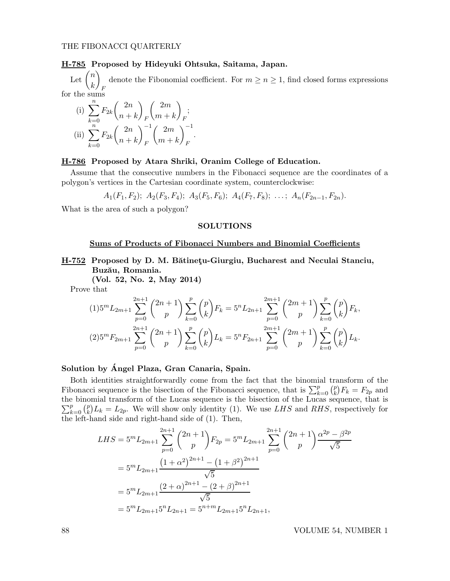## H-785 Proposed by Hideyuki Ohtsuka, Saitama, Japan.

Let  $\binom{n}{i}$ k  $\setminus$ denote the Fibonomial coefficient. For  $m \ge n \ge 1$ , find closed forms expressions  $F$ for the sums

(i) 
$$
\sum_{k=0}^{n} F_{2k} {2n \choose n+k} \begin{pmatrix} 2m \\ m+k \end{pmatrix} F;
$$
  
\n(ii) 
$$
\sum_{k=0}^{n} F_{2k} {2n \choose n+k}^{-1} {2m \choose m+k}^{-1}.
$$

## H-786 Proposed by Atara Shriki, Oranim College of Education.

Assume that the consecutive numbers in the Fibonacci sequence are the coordinates of a polygon's vertices in the Cartesian coordinate system, counterclockwise:

$$
A_1(F_1, F_2); A_2(F_3, F_4); A_3(F_5, F_6); A_4(F_7, F_8); \ldots; A_n(F_{2n-1}, F_{2n}).
$$

What is the area of such a polygon?

#### SOLUTIONS

## Sums of Products of Fibonacci Numbers and Binomial Coefficients

# H-752 Proposed by D. M. Bătinetu-Giurgiu, Bucharest and Neculai Stanciu, Buzău, Romania.

(Vol. 52, No. 2, May 2014)

Prove that

$$
(1)5^{m}L_{2m+1} \sum_{p=0}^{2n+1} {2n+1 \choose p} \sum_{k=0}^{p} {p \choose k} F_{k} = 5^{n}L_{2n+1} \sum_{p=0}^{2m+1} {2m+1 \choose p} \sum_{k=0}^{p} {p \choose k} F_{k},
$$
  

$$
(2)5^{m}F_{2m+1} \sum_{p=0}^{2n+1} {2n+1 \choose p} \sum_{k=0}^{p} {p \choose k} L_{k} = 5^{n}F_{2n+1} \sum_{p=0}^{2m+1} {2m+1 \choose p} \sum_{k=0}^{p} {p \choose k} L_{k}.
$$

# Solution by Angel Plaza, Gran Canaria, Spain. ´

Both identities straightforwardly come from the fact that the binomial transform of the Fibonacci sequence is the bisection of the Fibonacci sequence, that is  $\sum_{k=0}^{p} {p \choose k}$  $F_k^p$  =  $F_{2p}$  and the binomial transform of the Lucas sequence is the bisectio n of the Lucas sequence, that is  $\sum_{k=0}^{p} \binom{p}{k}$  $L_k^p/L_k = L_{2p}$ . We will show only identity (1). We use LHS and RHS, respectively for the left-hand side and right-hand side of (1). Then,

$$
LHS = 5^{m} L_{2m+1} \sum_{p=0}^{2n+1} {2n+1 \choose p} F_{2p} = 5^{m} L_{2m+1} \sum_{p=0}^{2n+1} {2n+1 \choose p} \frac{\alpha^{2p} - \beta^{2p}}{\sqrt{5}}
$$
  
=  $5^{m} L_{2m+1} \frac{(1+\alpha^{2})^{2n+1} - (1+\beta^{2})^{2n+1}}{\sqrt{5}}$   
=  $5^{m} L_{2m+1} \frac{(2+\alpha)^{2n+1} - (2+\beta)^{2n+1}}{\sqrt{5}}$   
=  $5^{m} L_{2m+1} 5^{n} L_{2n+1} = 5^{n+m} L_{2m+1} 5^{n} L_{2n+1},$ 

88 VOLUME 54, NUMBER 1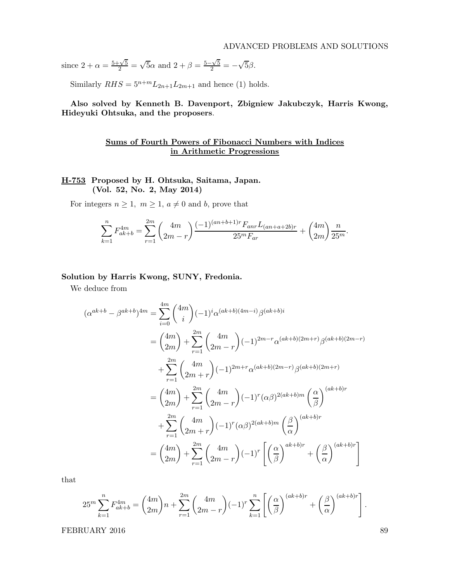since  $2 + \alpha = \frac{5 + \sqrt{5}}{2} = \sqrt{5\alpha}$  and  $2 + \beta = \frac{5 - \sqrt{5}}{2} = -\sqrt{5\beta}$ .

Similarly  $RHS = 5^{n+m}L_{2n+1}L_{2m+1}$  and hence (1) holds.

Also solved by Kenneth B. Davenport, Zbigniew Jakubczyk, Harris Kwong, Hideyuki Ohtsuka, and the proposers.

# Sums of Fourth Powers of Fibonacci Numbers with Indices in Arithmetic Progressions

# H-753 Proposed by H. Ohtsuka, Saitama, Japan. (Vol. 52, No. 2, May 2014)

For integers  $n \geq 1$ ,  $m \geq 1$ ,  $a \neq 0$  and b, prove that

$$
\sum_{k=1}^{n} F_{ak+b}^{4m} = \sum_{r=1}^{2m} \binom{4m}{2m-r} \frac{(-1)^{(an+b+1)r} F_{anr} L_{(an+a+2b)r}}{25^m F_{ar}} + \binom{4m}{2m} \frac{n}{25^m}.
$$

#### Solution by Harris Kwong, SUNY, Fredonia.

We deduce from

$$
(\alpha^{ak+b} - \beta^{ak+b})^{4m} = \sum_{i=0}^{4m} {4m \choose i} (-1)^i \alpha^{(ak+b)(4m-i)} \beta^{(ak+b)i}
$$
  
\n
$$
= {4m \choose 2m} + \sum_{r=1}^{2m} {4m \choose 2m-r} (-1)^{2m-r} \alpha^{(ak+b)(2m+r)} \beta^{(ak+b)(2m-r)}
$$
  
\n
$$
+ \sum_{r=1}^{2m} {4m \choose 2m+r} (-1)^{2m+r} \alpha^{(ak+b)(2m-r)} \beta^{(ak+b)(2m+r)}
$$
  
\n
$$
= {4m \choose 2m} + \sum_{r=1}^{2m} {4m \choose 2m-r} (-1)^r (\alpha \beta)^{2(ak+b)m} {\alpha \choose \beta}^{(ak+b)r}
$$
  
\n
$$
+ \sum_{r=1}^{2m} {4m \choose 2m+r} (-1)^r (\alpha \beta)^{2(ak+b)m} {\beta \choose \alpha}^{(ak+b)r}
$$
  
\n
$$
= {4m \choose 2m} + \sum_{r=1}^{2m} {4m \choose 2m-r} (-1)^r \left[ {\alpha \choose \beta}^{ak+b)r} + {\beta \choose \alpha}^{(ak+b)r} \right]
$$

that

$$
25^m \sum_{k=1}^n F_{ak+b}^{4m} = {4m \choose 2m} n + \sum_{r=1}^{2m} {4m \choose 2m-r} (-1)^r \sum_{k=1}^n \left[ \left(\frac{\alpha}{\beta}\right)^{(ak+b)r} + \left(\frac{\beta}{\alpha}\right)^{(ak+b)r} \right].
$$

FEBRUARY 2016 89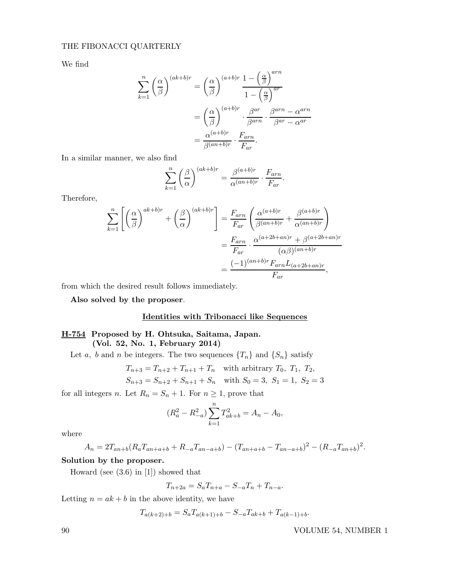## THE FIBONACCI QUARTERLY

We find

$$
\sum_{k=1}^{n} \left(\frac{\alpha}{\beta}\right)^{(ak+b)r} = \left(\frac{\alpha}{\beta}\right)^{(a+b)r} \frac{1 - \left(\frac{\alpha}{\beta}\right)^{arn}}{1 - \left(\frac{\alpha}{\beta}\right)^{ar}}
$$

$$
= \left(\frac{\alpha}{\beta}\right)^{(a+b)r} \cdot \frac{\beta^{ar}}{\beta^{arn}} \cdot \frac{\beta^{arn} - \alpha^{arn}}{\beta^{ar} - \alpha^{ar}}
$$

$$
= \frac{\alpha^{(a+b)r}}{\beta^{(an+b)r}} \cdot \frac{F_{arn}}{F_{ar}}.
$$

In a similar manner, we also find

$$
\sum_{k=1}^{n} \left(\frac{\beta}{\alpha}\right)^{(ak+b)r} = \frac{\beta^{(a+b)r}}{\alpha^{(an+b)r}} \cdot \frac{F_{arn}}{F_{ar}}.
$$

Therefore,

$$
\sum_{k=1}^{n} \left[ \left( \frac{\alpha}{\beta} \right)^{ak+b)r} + \left( \frac{\beta}{\alpha} \right)^{(ak+b)r} \right] = \frac{F_{arn}}{F_{ar}} \left( \frac{\alpha^{(a+b)r}}{\beta^{(an+b)r}} + \frac{\beta^{(a+b)r}}{\alpha^{(an+b)r}} \right)
$$

$$
= \frac{F_{arn}}{F_{ar}} \cdot \frac{\alpha^{(a+2b+an)r} + \beta^{(a+2b+an)r}}{(\alpha \beta)^{(an+b)r}}
$$

$$
= \frac{(-1)^{(an+b)r} F_{arn} L_{(a+2b+an)r}}{F_{ar}},
$$

from which the desired result follows immediately.

Also solved by the proposer.

## Identities with Tribonacci like Sequences

## H-754 Proposed by H. Ohtsuka, Saitama, Japan. (Vol. 52, No. 1, February 2014)

Let a, b and n be integers. The two sequences  $\{T_n\}$  and  $\{S_n\}$  satisfy

$$
T_{n+3} = T_{n+2} + T_{n+1} + T_n
$$
 with arbitrary  $T_0$ ,  $T_1$ ,  $T_2$ ,  
\n
$$
S_{n+3} = S_{n+2} + S_{n+1} + S_n
$$
 with  $S_0 = 3$ ,  $S_1 = 1$ ,  $S_2 = 3$ 

for all integers *n*. Let  $R_n = S_n + 1$ . For  $n \ge 1$ , prove that

$$
(R_a^2 - R_{-a}^2) \sum_{k=1}^n T_{ak+b}^2 = A_n - A_0,
$$

where

$$
A_n = 2T_{an+b}(R_aT_{an+a+b} + R_{-a}T_{an-a+b}) - (T_{an+a+b} - T_{an-a+b})^2 - (R_{-a}T_{an+b})^2.
$$

## Solution by the proposer.

Howard (see (3.6) in [1]) showed that

$$
T_{n+2a} = S_a T_{n+a} - S_{-a} T_n + T_{n-a}.
$$

Letting  $n = ak + b$  in the above identity, we have

$$
T_{a(k+2)+b} = S_a T_{a(k+1)+b} - S_{-a} T_{ak+b} + T_{a(k-1)+b}.
$$

90 VOLUME 54, NUMBER 1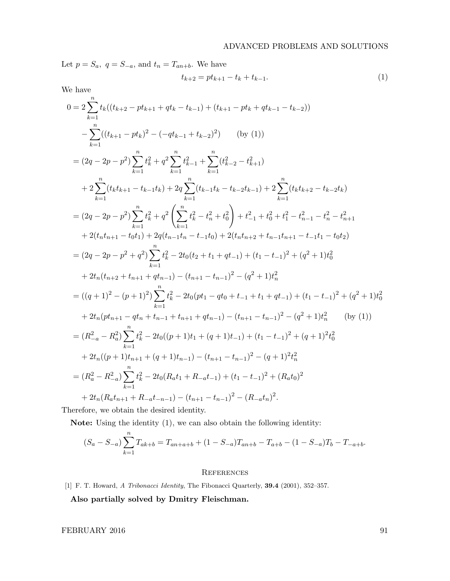Let  $p = S_a$ ,  $q = S_{-a}$ , and  $t_n = T_{an+b}$ . We have

$$
t_{k+2} = pt_{k+1} - t_k + t_{k-1}.
$$
\n(1)

We have

$$
0 = 2 \sum_{k=1}^{n} t_k ((t_{k+2} - pt_{k+1} + qt_k - t_{k-1}) + (t_{k+1} - pt_k + qt_{k-1} - t_{k-2}))
$$
  
\n
$$
- \sum_{k=1}^{n} ((t_{k+1} - pt_k)^2 - (-qt_{k-1} + t_{k-2})^2) \qquad \text{(by (1))}
$$
  
\n
$$
= (2q - 2p - p^2) \sum_{k=1}^{n} t_k^2 + q^2 \sum_{k=1}^{n} t_{k-1}^2 + \sum_{k=1}^{n} (t_{k-2}^2 - t_{k+1}^2)
$$
  
\n
$$
+ 2 \sum_{k=1}^{n} (t_k t_{k+1} - t_{k-1} t_k) + 2q \sum_{k=1}^{n} (t_{k-1} t_k - t_{k-2} t_{k-1}) + 2 \sum_{k=1}^{n} (t_k t_{k+2} - t_{k-2} t_k)
$$
  
\n
$$
= (2q - 2p - p^2) \sum_{k=1}^{n} t_k^2 + q^2 \left( \sum_{k=1}^{n} t_k^2 - t_n^2 + t_0^2 \right) + t_{-1}^2 + t_0^2 + t_1^2 - t_{n-1}^2 - t_n^2 - t_{n+1}^2
$$
  
\n
$$
+ 2(t_n t_{n+1} - t_0 t_1) + 2q(t_{n-1} t_n - t_{-1} t_0) + 2(t_n t_{n+2} + t_{n-1} t_{n+1} - t_{n+1} t_0 + t_2)
$$
  
\n
$$
= (2q - 2p - p^2 + q^2) \sum_{k=1}^{n} t_k^2 - 2t_0(t_2 + t_1 + qt_{-1}) + (t_1 - t_{-1})^2 + (q^2 + 1)t_0^2
$$
  
\n
$$
+ 2t_n (t_{n+2} + t_{n+1} + qt_{n-1}) - (t_{n+1} - t_{n-1})^2 - (q^2 + 1)t_n^2
$$
  
\n
$$
= ((q + 1)^2 - (p + 1)^2) \sum_{k=1}^{n} t_k^2 - 2t_0 (pt_1 - qt_0 + t_{-1} + t_1
$$

Therefore, we obtain the desired identity.

Note: Using the identity (1), we can also obtain the following identity:

$$
(S_a - S_{-a}) \sum_{k=1}^n T_{ak+b} = T_{an+a+b} + (1 - S_{-a})T_{an+b} - T_{a+b} - (1 - S_{-a})T_b - T_{-a+b}.
$$

## **REFERENCES**

[1] F. T. Howard, A Tribonacci Identity, The Fibonacci Quarterly, 39.4 (2001), 352–357.

Also partially solved by Dmitry Fleischman.

 $\begin{tabular}{c} FEBRUARY 2016 \end{tabular} \begin{tabular}{c} \hspace{10pt} \textbf{91} \end{tabular}$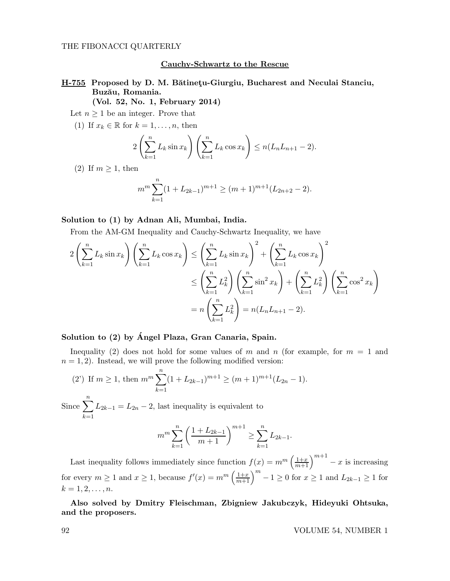#### THE FIBONACCI QUARTERLY

## Cauchy-Schwartz to the Rescue

# H-755 Proposed by D. M. Bătinetu-Giurgiu, Bucharest and Neculai Stanciu, Buzău, Romania.

(Vol. 52, No. 1, February 2014)

Let  $n \geq 1$  be an integer. Prove that

(1) If  $x_k \in \mathbb{R}$  for  $k = 1, \ldots, n$ , then

$$
2\left(\sum_{k=1}^n L_k \sin x_k\right)\left(\sum_{k=1}^n L_k \cos x_k\right) \le n(L_n L_{n+1} - 2).
$$

(2) If  $m \geq 1$ , then

$$
m^{m} \sum_{k=1}^{n} (1 + L_{2k-1})^{m+1} \ge (m+1)^{m+1} (L_{2n+2} - 2).
$$

## Solution to (1) by Adnan Ali, Mumbai, India.

From the AM-GM Inequality and Cauchy-Schwartz Inequality, we have

$$
2\left(\sum_{k=1}^{n} L_k \sin x_k\right)\left(\sum_{k=1}^{n} L_k \cos x_k\right) \le \left(\sum_{k=1}^{n} L_k \sin x_k\right)^2 + \left(\sum_{k=1}^{n} L_k \cos x_k\right)^2
$$
  

$$
\le \left(\sum_{k=1}^{n} L_k^2\right)\left(\sum_{k=1}^{n} \sin^2 x_k\right) + \left(\sum_{k=1}^{n} L_k^2\right)\left(\sum_{k=1}^{n} \cos^2 x_k\right)
$$
  

$$
= n\left(\sum_{k=1}^{n} L_k^2\right) = n(L_n L_{n+1} - 2).
$$

## Solution to (2) by Angel Plaza, Gran Canaria, Spain.

Inequality (2) does not hold for some values of m and n (for example, for  $m = 1$  and  $n = 1, 2$ . Instead, we will prove the following modified version:

(2') If 
$$
m \ge 1
$$
, then  $m^m \sum_{k=1}^n (1 + L_{2k-1})^{m+1} \ge (m+1)^{m+1} (L_{2n} - 1)$ .

Since  $\sum_{n=1}^n$  $k=1$  $L_{2k-1} = L_{2n} - 2$ , last inequality is equivalent to

$$
m^{m} \sum_{k=1}^{n} \left( \frac{1 + L_{2k-1}}{m+1} \right)^{m+1} \ge \sum_{k=1}^{n} L_{2k-1}.
$$

Last inequality follows immediately since function  $f(x) = m^m \left(\frac{1+x}{m+1}\right)^{m+1} - x$  is increasing for every  $m \ge 1$  and  $x \ge 1$ , because  $f'(x) = m^m \left(\frac{1+x}{m+1}\right)^m - 1 \ge 0$  for  $x \ge 1$  and  $L_{2k-1} \ge 1$  for  $k = 1, 2, \ldots, n$ .

Also solved by Dmitry Fleischman, Zbigniew Jakubczyk, Hideyuki Ohtsuka, and the proposers.